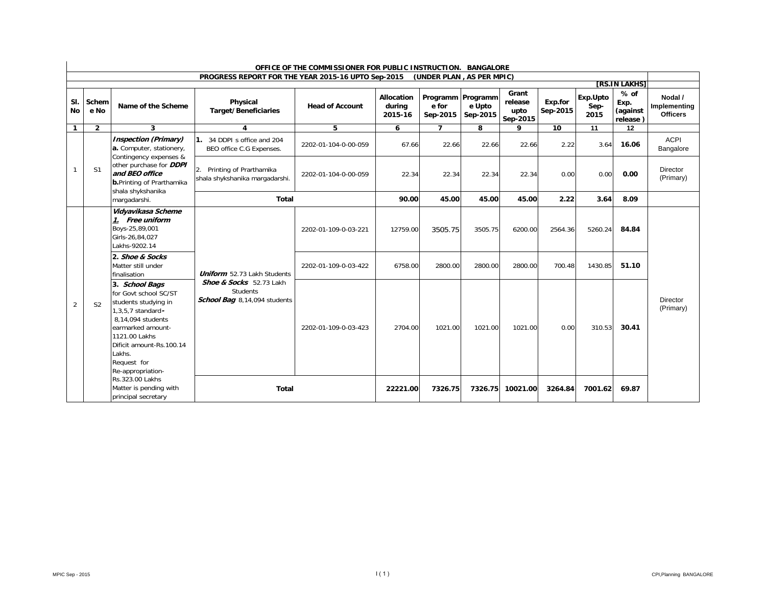| OFFICE OF THE COMMISSIONER FOR PUBLIC INSTRUCTION. BANGALORE |                |                                                                                                                                                                                                      |                                                                            |                        |                                        |                           |                                           |                                      |                     |                          |                                                                |                                            |
|--------------------------------------------------------------|----------------|------------------------------------------------------------------------------------------------------------------------------------------------------------------------------------------------------|----------------------------------------------------------------------------|------------------------|----------------------------------------|---------------------------|-------------------------------------------|--------------------------------------|---------------------|--------------------------|----------------------------------------------------------------|--------------------------------------------|
|                                                              |                |                                                                                                                                                                                                      | PROGRESS REPORT FOR THE YEAR 2015-16 UPTO Sep-2015                         |                        |                                        | (UNDER PLAN, AS PER MPIC) |                                           |                                      |                     |                          |                                                                |                                            |
| SI.<br><b>No</b>                                             | Schem<br>e No  | Name of the Scheme                                                                                                                                                                                   | Physical<br><b>Target/Beneficiaries</b>                                    | <b>Head of Account</b> | <b>Allocation</b><br>during<br>2015-16 | e for<br>Sep-2015         | Programm   Programm<br>e Upto<br>Sep-2015 | Grant<br>release<br>upto<br>Sep-2015 | Exp.for<br>Sep-2015 | Exp.Upto<br>Sep-<br>2015 | <b>TRS.IN LAKHST</b><br>$%$ of<br>Exp.<br>(against<br>release) | Nodal /<br>Implementing<br><b>Officers</b> |
| $\mathbf{1}$                                                 | $\overline{2}$ | 3                                                                                                                                                                                                    | 4                                                                          | 5                      | 6                                      | $\overline{ }$            | 8                                         | o                                    | 10                  | 11                       | 12                                                             |                                            |
|                                                              |                | <b>Inspection (Primary)</b><br>a. Computer, stationery,<br>Contingency expenses &                                                                                                                    | 34 DDPI s office and 204<br>BEO office C.G Expenses.                       | 2202-01-104-0-00-059   | 67.66                                  | 22.66                     | 22.66                                     | 22.66                                | 2.22                | 3.64                     | 16.06                                                          | <b>ACPI</b><br>Bangalore                   |
|                                                              | S <sub>1</sub> | other purchase for <b>DDPI</b><br>and BEO office<br><b>b.</b> Printing of Prarthamika<br>shala shykshanika                                                                                           | Printing of Prarthamika<br>2.<br>shala shykshanika margadarshi.            | 2202-01-104-0-00-059   | 22.34                                  | 22.34                     | 22.34                                     | 22.34                                | 0.00                | 0.00                     | 0.00                                                           | <b>Director</b><br>(Primary)               |
|                                                              |                | margadarshi.                                                                                                                                                                                         | <b>Total</b>                                                               |                        | 90.00                                  | 45.00                     | 45.00                                     | 45.00                                | 2.22                | 3.64                     | 8.09                                                           |                                            |
|                                                              |                | Vidyavikasa Scheme<br>1. Free uniform<br>Boys-25,89,001<br>Girls-26,84,027<br>Lakhs-9202.14                                                                                                          |                                                                            | 2202-01-109-0-03-221   | 12759.00                               | 3505.75                   | 3505.75                                   | 6200.00                              | 2564.36             | 5260.24                  | 84.84                                                          |                                            |
|                                                              |                | 2. Shoe & Socks<br>Matter still under<br>finalisation                                                                                                                                                | <b>Uniform</b> 52.73 Lakh Students                                         | 2202-01-109-0-03-422   | 6758.00                                | 2800.00                   | 2800.00                                   | 2800.00                              | 700.48              | 1430.85                  | 51.10                                                          |                                            |
| 2                                                            | S <sub>2</sub> | 3. School Bags<br>for Govt school SC/ST<br>students studying in<br>1,3,5,7 standard-<br>8.14.094 students<br>earmarked amount-<br>1121.00 Lakhs<br>Dificit amount-Rs.100.14<br>Lakhs.<br>Request for | Shoe & Socks 52.73 Lakh<br><b>Students</b><br>School Bag 8,14,094 students | 2202-01-109-0-03-423   | 2704.00                                | 1021.00                   | 1021.00                                   | 1021.00                              | 0.00                | 310.53                   | 30.41                                                          | <b>Director</b><br>(Primary)               |
|                                                              |                | Re-appropriation-<br>Rs.323.00 Lakhs<br>Matter is pending with<br>principal secretary                                                                                                                | <b>Total</b>                                                               |                        | 22221.00                               | 7326.75                   | 7326.75                                   | 10021.00                             | 3264.84             | 7001.62                  | 69.87                                                          |                                            |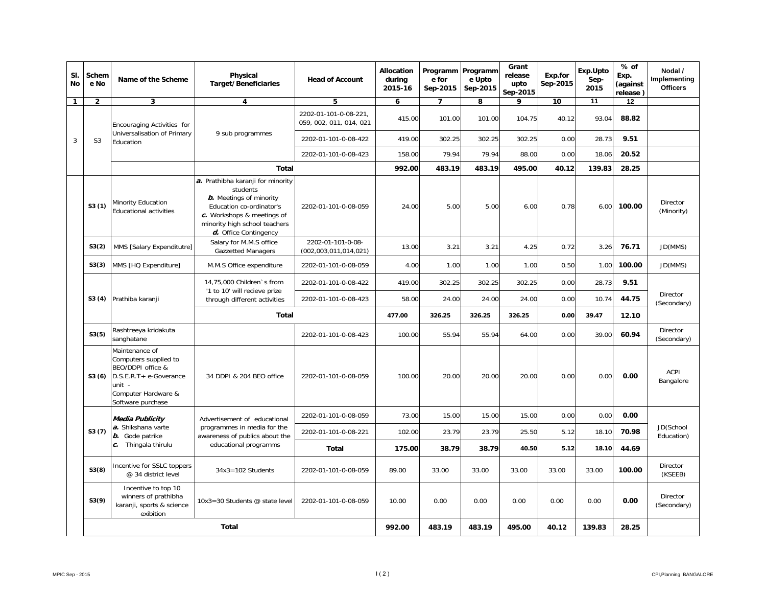| SI.<br>No    | Schem<br>e No           | Name of the Scheme                                                                                                                           | Physical<br><b>Target/Beneficiaries</b>                                                                                                                                                             | <b>Head of Account</b>                           | Allocation<br>during<br>2015-16 | Programm Programm<br>e for<br>Sep-2015 | e Upto<br>Sep-2015 | Grant<br>release<br>upto<br>Sep-2015 | Exp.for<br>Sep-2015 | Exp.Upto<br>Sep-<br>2015 | $%$ of<br>Exp.<br>(against<br>release)                    | Nodal /<br>Implementing<br><b>Officers</b> |
|--------------|-------------------------|----------------------------------------------------------------------------------------------------------------------------------------------|-----------------------------------------------------------------------------------------------------------------------------------------------------------------------------------------------------|--------------------------------------------------|---------------------------------|----------------------------------------|--------------------|--------------------------------------|---------------------|--------------------------|-----------------------------------------------------------|--------------------------------------------|
| $\mathbf{1}$ | $\mathbf{2}$            | 3                                                                                                                                            | 4                                                                                                                                                                                                   | 5                                                | 6                               | $\overline{7}$                         | 8                  | 9                                    | 10                  | 11                       | 12                                                        |                                            |
|              |                         | Encouraging Activities for                                                                                                                   |                                                                                                                                                                                                     | 2202-01-101-0-08-221,<br>059, 002, 011, 014, 021 | 415.00                          | 101.00                                 | 101.00             | 104.75                               | 40.12               | 93.04                    | 88.82                                                     |                                            |
| 3            | S <sub>3</sub>          | Universalisation of Primary<br>Education                                                                                                     | 9 sub programmes                                                                                                                                                                                    | 2202-01-101-0-08-422                             | 419.00                          | 302.25                                 | 302.25             | 302.25                               | 0.00                | 28.73                    | 9.51                                                      |                                            |
|              |                         |                                                                                                                                              |                                                                                                                                                                                                     | 2202-01-101-0-08-423                             | 158.00                          | 79.94                                  | 79.94              | 88.00                                | 0.00                | 18.06                    | 20.52                                                     |                                            |
|              |                         |                                                                                                                                              | <b>Total</b>                                                                                                                                                                                        |                                                  | 992.00                          | 483.19                                 | 483.19             | 495.00                               | 40.12               | 139.83                   | 28.25                                                     |                                            |
|              | S3(1)                   | Minority Education<br><b>Educational activities</b>                                                                                          | a. Prathibha karanji for minority<br>students<br><b>b.</b> Meetings of minority<br>Education co-ordinator's<br>c. Workshops & meetings of<br>minority high school teachers<br>d. Office Contingency | 2202-01-101-0-08-059                             | 24.00                           | 5.00                                   | 5.00               | 6.00                                 | 0.78                | 6.00                     | 100.00                                                    | Director<br>(Minority)                     |
|              | S3(2)                   | MMS [Salary Expenditutre]                                                                                                                    | Salary for M.M.S office<br><b>Gazzetted Managers</b>                                                                                                                                                | 2202-01-101-0-08-<br>(002, 003, 011, 014, 021)   | 13.00                           | 3.21                                   | 3.21               | 4.25                                 | 0.72                | 3.26                     | 76.71                                                     | JD(MMS)                                    |
|              | S3(3)                   | MMS [HQ Expenditure]                                                                                                                         | M.M.S Office expenditure                                                                                                                                                                            | 2202-01-101-0-08-059                             | 4.00                            | 1.00                                   | 1.00               | 1.00                                 | 0.50                |                          | 100.00                                                    | JD(MMS)                                    |
|              | S3 (4) Prathiba karanji |                                                                                                                                              | 14,75,000 Children's from<br>'1 to 10' will recieve prize                                                                                                                                           | 2202-01-101-0-08-422                             | 419.00                          | 302.25                                 | 302.25             | 302.25                               | 0.00                |                          | 1.00<br>28.73<br>9.51<br>44.75<br>10.74<br>39.47<br>12.10 |                                            |
|              |                         |                                                                                                                                              | through different activities                                                                                                                                                                        | 2202-01-101-0-08-423                             | 58.00                           | 24.00                                  | 24.00              | 24.00                                | 0.00                |                          |                                                           | Director<br>(Secondary)                    |
|              |                         | Total                                                                                                                                        |                                                                                                                                                                                                     | 477.00                                           | 326.25                          | 326.25                                 | 326.25             | 0.00                                 |                     |                          |                                                           |                                            |
|              | S3(5)                   | Rashtreeya kridakuta<br>sanghatane                                                                                                           |                                                                                                                                                                                                     | 2202-01-101-0-08-423                             | 100.00                          | 55.94                                  | 55.94              | 64.00                                | 0.00                | 39.00                    | 60.94                                                     | Director<br>(Secondary)                    |
|              | S3(6)                   | Maintenance of<br>Computers supplied to<br>BEO/DDPI office &<br>D.S.E.R.T+ e-Goverance<br>unit -<br>Computer Hardware &<br>Software purchase | 34 DDPI & 204 BEO office                                                                                                                                                                            | 2202-01-101-0-08-059                             | 100.00                          | 20.00                                  | 20.00              | 20.00                                | 0.00                | 0.00                     | 0.00                                                      | <b>ACPI</b><br>Bangalore                   |
|              |                         | <b>Media Publicity</b>                                                                                                                       | Advertisement of educational                                                                                                                                                                        | 2202-01-101-0-08-059                             | 73.00                           | 15.00                                  | 15.00              | 15.00                                | 0.00                | 0.00                     | 0.00                                                      |                                            |
|              | S3(7)                   | a. Shikshana varte<br>b. Gode patrike                                                                                                        | programmes in media for the<br>awareness of publics about the                                                                                                                                       | 2202-01-101-0-08-221                             | 102.00                          | 23.79                                  | 23.79              | 25.50                                | 5.12                | 18.10                    | 70.98                                                     | JD(School<br>Education)                    |
|              |                         | c. Thingala thirulu                                                                                                                          | educational programms                                                                                                                                                                               | Total                                            | 175.00                          | 38.79                                  | 38.79              | 40.50                                | 5.12                | 18.10                    | 44.69                                                     |                                            |
|              | S3(8)                   | Incentive for SSLC toppers<br>@ 34 district level                                                                                            | $34x3 = 102$ Students                                                                                                                                                                               | 2202-01-101-0-08-059                             | 89.00                           | 33.00                                  | 33.00              | 33.00                                | 33.00               | 33.00                    | 100.00                                                    | Director<br>(KSEEB)                        |
|              | S3(9)                   | Incentive to top 10<br>winners of prathibha<br>karanji, sports & science<br>exibition                                                        | 10x3=30 Students @ state level                                                                                                                                                                      | 2202-01-101-0-08-059                             | 10.00                           | 0.00                                   | 0.00               | 0.00                                 | 0.00                | 0.00                     | 0.00                                                      | <b>Director</b><br>(Secondary)             |
|              | Total                   |                                                                                                                                              |                                                                                                                                                                                                     |                                                  | 992.00                          | 483.19                                 | 483.19             | 495.00                               | 40.12               | 139.83                   | 28.25                                                     |                                            |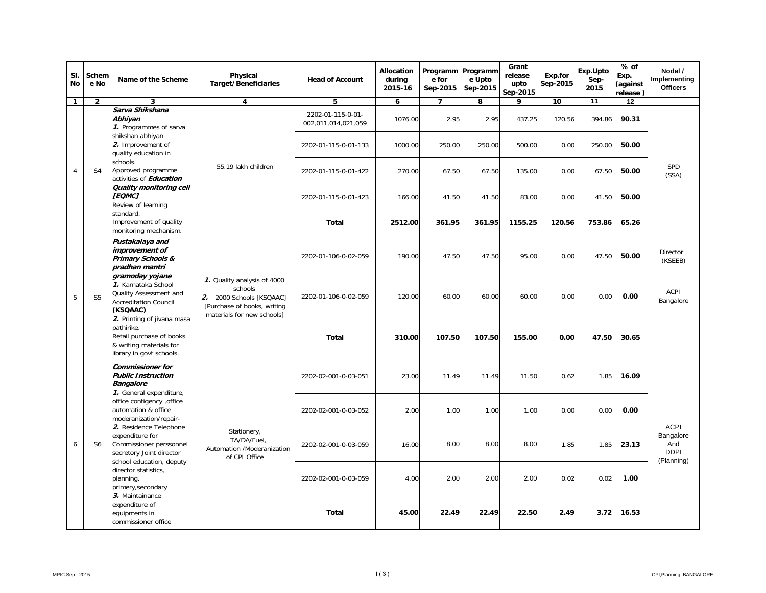| SI.<br>No      | Schem<br>e No  | Name of the Scheme                                                                                                                                               | Physical<br><b>Target/Beneficiaries</b>                                                                                          | <b>Head of Account</b>                   | Allocation<br>during<br>2015-16 | Programm<br>e for<br>Sep-2015                                                          | Programm<br>e Upto<br>Sep-2015 | Grant<br>release<br>upto<br>Sep-2015 | Exp.for<br>Sep-2015 | Exp.Upto<br>Sep-<br>2015 | % of<br>Exp.<br>(against<br>release) | Nodal /<br>Implementing<br><b>Officers</b>    |
|----------------|----------------|------------------------------------------------------------------------------------------------------------------------------------------------------------------|----------------------------------------------------------------------------------------------------------------------------------|------------------------------------------|---------------------------------|----------------------------------------------------------------------------------------|--------------------------------|--------------------------------------|---------------------|--------------------------|--------------------------------------|-----------------------------------------------|
| $\mathbf{1}$   | $\overline{2}$ | 3                                                                                                                                                                | 4                                                                                                                                | 5                                        | 6                               | $\overline{7}$                                                                         | 8                              | 9                                    | 10                  | 11                       | 12                                   |                                               |
|                |                | Sarva Shikshana<br>Abhivan<br>1. Programmes of sarva                                                                                                             |                                                                                                                                  | 2202-01-115-0-01-<br>002,011,014,021,059 | 1076.00                         | 2.95                                                                                   | 2.95                           | 437.25                               | 120.56              | 394.86                   | 90.31                                |                                               |
|                |                | shikshan abhiyan<br>2. Improvement of<br>quality education in                                                                                                    |                                                                                                                                  | 2202-01-115-0-01-133                     | 1000.00                         | 250.00                                                                                 | 250.00                         | 500.00                               | 0.00                | 250.00                   | 50.00                                |                                               |
| $\overline{4}$ | S <sub>4</sub> | schools.<br>Approved programme<br>activities of <b>Education</b>                                                                                                 | 55.19 lakh children                                                                                                              | 2202-01-115-0-01-422                     | 270.00                          | 67.50                                                                                  | 67.50                          | 135.00                               | 0.00                | 67.50                    | 50.00                                | SPD<br>(SSA)                                  |
|                |                | Quality monitoring cell<br>[EQMC]<br>Review of learning                                                                                                          |                                                                                                                                  | 2202-01-115-0-01-423                     | 166.00                          | 41.50                                                                                  | 41.50                          | 83.00                                | 0.00                | 41.50                    | 50.00                                |                                               |
|                |                | standard.<br>Improvement of quality<br>monitoring mechanism.                                                                                                     |                                                                                                                                  | Total                                    | 2512.00                         | 361.95                                                                                 | 361.95                         | 1155.25                              | 120.56              | 753.86                   | 65.26                                |                                               |
|                |                | Pustakalaya and<br>improvement of<br><b>Primary Schools &amp;</b><br>pradhan mantri<br>gramoday yojane                                                           |                                                                                                                                  | 2202-01-106-0-02-059                     | 190.00                          | 47.50                                                                                  | 47.50                          | 95.00                                | 0.00                | 47.50                    | 50.00                                | Director<br>(KSEEB)                           |
| 5              | S <sub>5</sub> | 1. Karnataka School<br>Quality Assessment and<br><b>Accreditation Council</b><br>(KSQAAC)                                                                        | 1. Quality analysis of 4000<br>schools<br>2. 2000 Schools [KSQAAC]<br>[Purchase of books, writing]<br>materials for new schools] | 2202-01-106-0-02-059                     | 120.00                          | 60.00<br>60.00<br>60.00<br>0.00<br>0.00<br>107.50<br>107.50<br>155.00<br>0.00<br>47.50 | 0.00                           | ACPI<br>Bangalore                    |                     |                          |                                      |                                               |
|                |                | 2. Printing of jivana masa<br>pathirike.<br>Retail purchase of books<br>& writing materials for<br>library in govt schools.                                      |                                                                                                                                  | <b>Total</b>                             | 310.00                          |                                                                                        |                                |                                      |                     |                          | 30.65                                |                                               |
|                |                | <b>Commissioner for</b><br><b>Public Instruction</b><br><b>Bangalore</b><br>1. General expenditure,                                                              |                                                                                                                                  | 2202-02-001-0-03-051                     | 23.00                           | 11.49                                                                                  | 11.49                          | 11.50                                | 0.62                | 1.85                     | 16.09                                |                                               |
|                |                | office contigency , office<br>automation & office<br>moderanization/repair-<br>2. Residence Telephone                                                            |                                                                                                                                  | 2202-02-001-0-03-052                     | 2.00                            | 1.00                                                                                   | 1.00                           | 1.00                                 | 0.00                | 0.00                     | 0.00                                 | <b>ACPI</b>                                   |
| 6              | S <sub>6</sub> | expenditure for<br>Commissioner perssonnel<br>secretory Joint director                                                                                           | Stationery,<br>TA/DA/Fuel,<br>Automation /Moderanization<br>of CPI Office                                                        | 2202-02-001-0-03-059                     | 16.00                           | 8.00                                                                                   | 8.00                           | 8.00                                 | 1.85                | 1.85                     | 23.13                                | Bangalore<br>And<br><b>DDPI</b><br>(Planning) |
|                |                | school education, deputy<br>director statistics,<br>planning,<br>primery, secondary<br>3. Maintainance<br>expenditure of<br>equipments in<br>commissioner office | 2202-02-001-0-03-059                                                                                                             | 4.00                                     | 2.00                            | 2.00                                                                                   | 2.00                           | 0.02                                 | 0.02                | 1.00                     |                                      |                                               |
|                |                |                                                                                                                                                                  |                                                                                                                                  | Total                                    | 45.00                           | 22.49                                                                                  | 22.49                          | 22.50                                | 2.49                | 3.72                     | 16.53                                |                                               |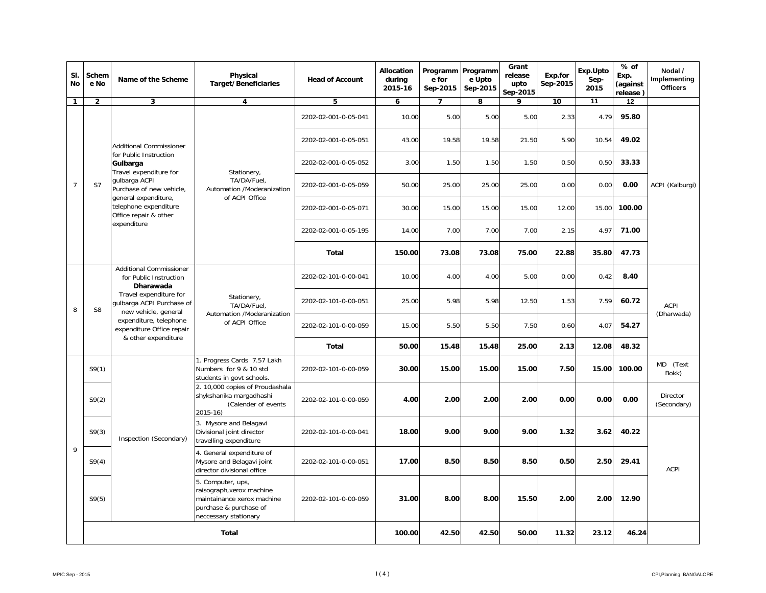| SI.<br><b>No</b> | Schem<br>e No  | Name of the Scheme                                                                                                  | Physical<br><b>Target/Beneficiaries</b>                                                                                         | <b>Head of Account</b> | Allocation<br>during<br>2015-16 | Programm<br>e for<br>Sep-2015 | Programm<br>e Upto<br>Sep-2015 | Grant<br>release<br>upto<br>Sep-2015 | Exp.for<br>Sep-2015 | Exp.Upto<br>Sep-<br>2015 | $%$ of<br>Exp.<br>(against<br>release) | Nodal /<br>Implementing<br><b>Officers</b>                                        |
|------------------|----------------|---------------------------------------------------------------------------------------------------------------------|---------------------------------------------------------------------------------------------------------------------------------|------------------------|---------------------------------|-------------------------------|--------------------------------|--------------------------------------|---------------------|--------------------------|----------------------------------------|-----------------------------------------------------------------------------------|
| $\mathbf{1}$     | $\overline{2}$ | 3                                                                                                                   | 4                                                                                                                               | 5                      | 6                               | $\overline{ }$                | 8                              | 9                                    | 10                  | $\overline{11}$          | $\overline{12}$                        |                                                                                   |
|                  |                |                                                                                                                     |                                                                                                                                 | 2202-02-001-0-05-041   | 10.00                           | 5.00                          | 5.00                           | 5.00                                 | 2.33                | 4.79                     | 95.80                                  |                                                                                   |
|                  |                | <b>Additional Commissioner</b>                                                                                      |                                                                                                                                 | 2202-02-001-0-05-051   | 43.00                           | 19.58                         | 19.58                          | 21.50                                | 5.90                | 10.54                    | 49.02                                  |                                                                                   |
|                  |                | for Public Instruction<br>Gulbarga<br>Travel expenditure for                                                        | Stationery,                                                                                                                     | 2202-02-001-0-05-052   | 3.00                            | 1.50                          | 1.50                           | 1.50                                 | 0.50                | 0.50                     | 33.33                                  |                                                                                   |
| $\overline{7}$   | S7             | gulbarga ACPI<br>Purchase of new vehicle,<br>general expenditure.<br>telephone expenditure<br>Office repair & other | TA/DA/Fuel,<br>Automation /Moderanization<br>of ACPI Office                                                                     | 2202-02-001-0-05-059   | 50.00                           | 25.00                         | 25.00                          | 25.00                                | 0.00                | 0.00                     | 0.00                                   | ACPI (Kalburgi)                                                                   |
|                  |                |                                                                                                                     |                                                                                                                                 | 2202-02-001-0-05-071   | 30.00                           | 15.00                         | 15.00                          | 15.00                                | 12.00               | 15.00                    | 100.00                                 |                                                                                   |
|                  |                | expenditure                                                                                                         |                                                                                                                                 | 2202-02-001-0-05-195   | 14.00                           | 7.00                          | 7.00                           | 7.00                                 | 2.15                | 4.97                     | 71.00                                  |                                                                                   |
|                  |                |                                                                                                                     |                                                                                                                                 | Total                  | 150.00                          | 73.08                         | 73.08                          | 75.00                                | 22.88               | 35.80                    | 47.73                                  |                                                                                   |
|                  |                | <b>Additional Commissioner</b><br>for Public Instruction<br><b>Dharawada</b>                                        |                                                                                                                                 | 2202-02-101-0-00-041   | 10.00                           | 4.00                          | 4.00                           | 5.00                                 | 0.00                | 0.42                     | 8.40                                   | <b>ACPI</b><br>(Dharwada)                                                         |
| 8                | S <sub>8</sub> | Travel expenditure for<br>qulbarga ACPI Purchase of<br>new vehicle, general                                         | Stationery,<br>TA/DA/Fuel.                                                                                                      | 2202-02-101-0-00-051   | 25.00                           | 5.98                          | 5.98                           | 12.50                                | 1.53                | 7.59                     | 60.72                                  |                                                                                   |
|                  |                | expenditure, telephone<br>expenditure Office repair                                                                 | Automation /Moderanization<br>of ACPI Office                                                                                    | 2202-02-101-0-00-059   | 15.00                           | 5.50                          | 5.50                           | 7.50                                 | 0.60                | 4.07                     | 54.27                                  |                                                                                   |
|                  |                | & other expenditure                                                                                                 |                                                                                                                                 | <b>Total</b>           | 50.00                           | 15.48                         | 15.48                          | 25.00                                | 2.13                | 12.08                    | 48.32                                  |                                                                                   |
|                  | S9(1)          |                                                                                                                     | 1. Progress Cards 7.57 Lakh<br>Numbers for 9 & 10 std<br>students in govt schools.                                              | 2202-02-101-0-00-059   | 30.00                           | 15.00                         | 15.00                          | 15.00                                | 7.50                | 15.00                    | 100.00                                 | MD (Text<br>Bokk)                                                                 |
|                  | S9(2)          |                                                                                                                     | 2. 10,000 copies of Proudashala<br>shykshanika margadhashi<br>(Calender of events<br>2015-16)                                   | 2202-02-101-0-00-059   | 4.00                            | 2.00                          | 2.00                           | 2.00                                 | 0.00                | 0.00                     | 0.00                                   | <b>Director</b><br>(Secondary)<br>40.22<br>29.41<br><b>ACPI</b><br>12.90<br>46.24 |
|                  | S9(3)          | Inspection (Secondary)                                                                                              | 3. Mysore and Belagavi<br>Divisional joint director<br>travelling expenditure                                                   | 2202-02-101-0-00-041   | 18.00                           | 9.00                          | 9.00                           | 9.00                                 | 1.32                | 3.62                     |                                        |                                                                                   |
| 9                | S9(4)          |                                                                                                                     | 4. General expenditure of<br>Mysore and Belagavi joint<br>director divisional office                                            | 2202-02-101-0-00-051   | 17.00                           | 8.50                          | 8.50                           | 8.50                                 | 0.50                | 2.50                     |                                        |                                                                                   |
|                  | S9(5)          |                                                                                                                     | 5. Computer, ups,<br>raisograph, xerox machine<br>maintainance xerox machine<br>purchase & purchase of<br>neccessary stationary | 2202-02-101-0-00-059   | 31.00                           | 8.00                          | 8.00                           | 15.50                                | 2.00                | 2.00                     |                                        |                                                                                   |
|                  | Total          |                                                                                                                     |                                                                                                                                 |                        |                                 | 42.50<br>100.00               | 42.50                          | 50.00                                | 11.32               | 23.12                    |                                        |                                                                                   |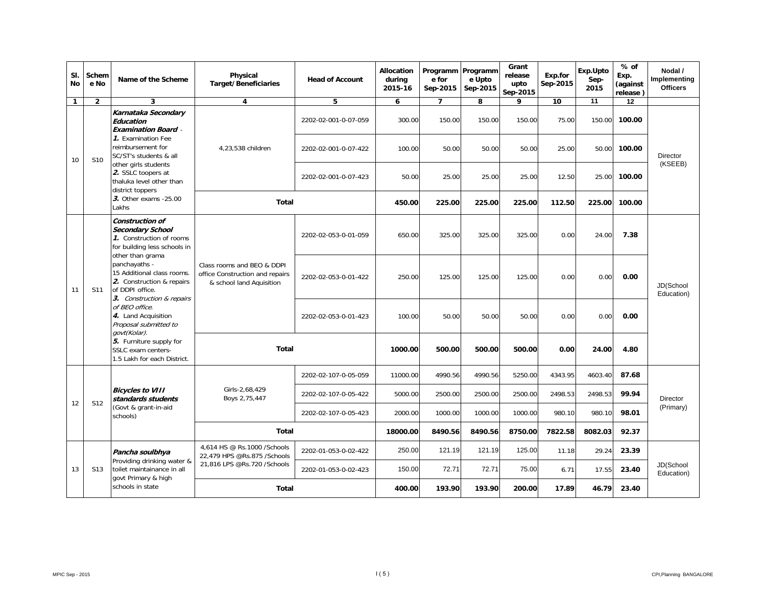| SI.<br>No    | Schem<br>e No                                                                                                                                                                                                                                                                                                                                                                                                                                                                                                                                                                         | Name of the Scheme                                                                                                            | Physical<br><b>Target/Beneficiaries</b>                     | <b>Head of Account</b> | Allocation<br>during<br>2015-16 | Programm Programm<br>e for<br>Sep-2015 | e Upto<br>Sep-2015 | Grant<br>release<br>upto<br>Sep-2015 | Exp.for<br>Sep-2015 | Exp.Upto<br>Sep-<br>2015 | $%$ of<br>Exp.<br>(against<br>release) | Nodal /<br>Implementing<br><b>Officers</b> |
|--------------|---------------------------------------------------------------------------------------------------------------------------------------------------------------------------------------------------------------------------------------------------------------------------------------------------------------------------------------------------------------------------------------------------------------------------------------------------------------------------------------------------------------------------------------------------------------------------------------|-------------------------------------------------------------------------------------------------------------------------------|-------------------------------------------------------------|------------------------|---------------------------------|----------------------------------------|--------------------|--------------------------------------|---------------------|--------------------------|----------------------------------------|--------------------------------------------|
| $\mathbf{1}$ | $\overline{2}$                                                                                                                                                                                                                                                                                                                                                                                                                                                                                                                                                                        | 3                                                                                                                             | 4                                                           | 5                      | 6                               | 7                                      | 8                  | 9                                    | 10                  | 11                       | 12                                     |                                            |
|              |                                                                                                                                                                                                                                                                                                                                                                                                                                                                                                                                                                                       | Karnataka Secondary<br>Education<br><b>Examination Board</b> -                                                                |                                                             | 2202-02-001-0-07-059   | 300.00                          | 150.00                                 | 150.00             | 150.00                               | 75.00               | 150.00                   | 100.00                                 |                                            |
| 10           | S <sub>10</sub>                                                                                                                                                                                                                                                                                                                                                                                                                                                                                                                                                                       | 1. Examination Fee<br>reimbursement for<br>SC/ST's students & all                                                             | 4,23,538 children                                           | 2202-02-001-0-07-422   | 100.00                          | 50.00                                  | 50.00              | 50.00                                | 25.00               | 50.00                    | 100.00                                 | <b>Director</b>                            |
|              |                                                                                                                                                                                                                                                                                                                                                                                                                                                                                                                                                                                       | other girls students<br>2. SSLC toopers at<br>thaluka level other than<br>district toppers<br>3. Other exams - 25.00<br>Lakhs |                                                             | 2202-02-001-0-07-423   | 50.00                           | 25.00                                  | 25.00              | 25.00                                | 12.50               | 25.00                    | 100.00                                 | (KSEEB)                                    |
|              |                                                                                                                                                                                                                                                                                                                                                                                                                                                                                                                                                                                       |                                                                                                                               | <b>Total</b>                                                |                        | 450.00                          | 225.00                                 | 225.00             | 225.00                               | 112.50              | 225.00                   | 100.00                                 |                                            |
|              | Construction of<br>Secondary School<br>325.00<br>325.00<br>2202-02-053-0-01-059<br>650.00<br>1. Construction of rooms<br>for building less schools in<br>other than grama<br>panchayaths -<br>Class rooms and BEO & DDPI<br>15 Additional class rooms.<br>office Construction and repairs<br>125.00<br>125.00<br>2202-02-053-0-01-422<br>250.00<br>2. Construction & repairs<br>& school land Aquisition<br>of DDPI office.<br>S11<br>3. Construction & repairs<br>of BEO office.<br>4. Land Acquisition<br>2202-02-053-0-01-423<br>100.00<br>50.00<br>50.00<br>Proposal submitted to |                                                                                                                               |                                                             |                        |                                 |                                        | 325.00             | 0.00                                 | 24.00               | 7.38                     |                                        |                                            |
| 11           |                                                                                                                                                                                                                                                                                                                                                                                                                                                                                                                                                                                       | 125.00                                                                                                                        | 0.00                                                        | 0.00                   | 0.00                            | JD(School<br>Education)                |                    |                                      |                     |                          |                                        |                                            |
|              |                                                                                                                                                                                                                                                                                                                                                                                                                                                                                                                                                                                       | govt(Kolar).                                                                                                                  |                                                             |                        |                                 |                                        |                    | 50.00                                | 0.00                | 0.00                     | 0.00                                   |                                            |
|              |                                                                                                                                                                                                                                                                                                                                                                                                                                                                                                                                                                                       | 5. Furniture supply for<br>SSLC exam centers-<br>1.5 Lakh for each District.                                                  | <b>Total</b>                                                |                        | 1000.00                         | 500.00                                 | 500.00             | 500.00                               | 0.00                | 24.00                    | 4.80                                   |                                            |
|              |                                                                                                                                                                                                                                                                                                                                                                                                                                                                                                                                                                                       |                                                                                                                               |                                                             | 2202-02-107-0-05-059   | 11000.00                        | 4990.56                                | 4990.56            | 5250.00                              | 4343.95             | 4603.40                  | 87.68                                  |                                            |
| 12           | S <sub>12</sub>                                                                                                                                                                                                                                                                                                                                                                                                                                                                                                                                                                       | <b>Bicycles to VIII</b><br>standards students                                                                                 | Girls-2,68,429<br>Boys 2,75,447                             | 2202-02-107-0-05-422   | 5000.00                         | 2500.00                                | 2500.00            | 2500.00                              | 2498.53             | 2498.53                  | 99.94                                  | Director                                   |
|              |                                                                                                                                                                                                                                                                                                                                                                                                                                                                                                                                                                                       | (Govt & grant-in-aid<br>schools)                                                                                              |                                                             | 2202-02-107-0-05-423   | 2000.00                         | 1000.00                                | 1000.00            | 1000.00                              | 980.10              | 980.10                   | 98.01                                  | (Primary)                                  |
|              |                                                                                                                                                                                                                                                                                                                                                                                                                                                                                                                                                                                       |                                                                                                                               | Total                                                       |                        | 18000.00                        | 8490.56                                | 8490.56            | 8750.00                              | 7822.58             | 8082.03                  | 92.37                                  |                                            |
|              |                                                                                                                                                                                                                                                                                                                                                                                                                                                                                                                                                                                       | Pancha soulbhya<br>Providing drinking water &                                                                                 | 4,614 HS @ Rs.1000 / Schools<br>22,479 HPS @Rs.875 /Schools | 2202-01-053-0-02-422   | 250.00                          | 121.19                                 | 121.19             | 125.00                               | 11.18               | 29.24                    | 23.39                                  | JD(School<br>Education)                    |
| 13           | S <sub>13</sub>                                                                                                                                                                                                                                                                                                                                                                                                                                                                                                                                                                       | toilet maintainance in all<br>govt Primary & high                                                                             | 21,816 LPS @Rs.720 /Schools                                 | 2202-01-053-0-02-423   | 150.00                          | 72.71                                  | 72.71              | 75.00                                | 6.71                | 17.55                    | 23.40                                  |                                            |
|              |                                                                                                                                                                                                                                                                                                                                                                                                                                                                                                                                                                                       | schools in state                                                                                                              | <b>Total</b>                                                |                        | 400.00                          | 193.90                                 | 193.90             | 200.00                               | 17.89               | 46.79                    | 23.40                                  |                                            |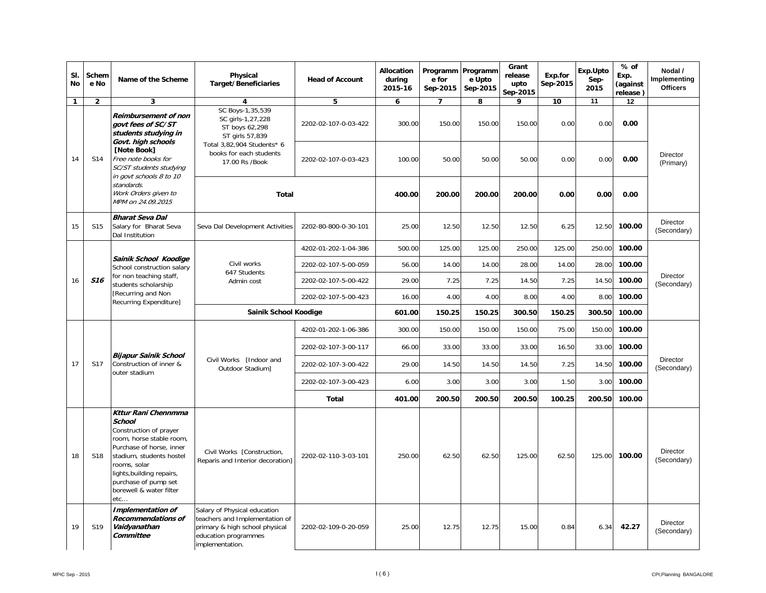| SI.<br>No    | Schem<br>e No   | Name of the Scheme                                                                                                                                                                                                                                  | Physical<br><b>Target/Beneficiaries</b>                                                                                                     | <b>Head of Account</b> | Allocation<br>during<br>2015-16 | Programm Programm<br>e for<br>Sep-2015 | e Upto<br>Sep-2015 | Grant<br>release<br>upto<br>Sep-2015 | Exp.for<br>Sep-2015 | Exp.Upto<br>Sep-<br>2015 | % of<br>Exp.<br>(against<br>release) | Nodal /<br>Implementing<br><b>Officers</b> |
|--------------|-----------------|-----------------------------------------------------------------------------------------------------------------------------------------------------------------------------------------------------------------------------------------------------|---------------------------------------------------------------------------------------------------------------------------------------------|------------------------|---------------------------------|----------------------------------------|--------------------|--------------------------------------|---------------------|--------------------------|--------------------------------------|--------------------------------------------|
| $\mathbf{1}$ | $\overline{2}$  | 3                                                                                                                                                                                                                                                   | 4                                                                                                                                           | 5                      | 6                               | $\overline{7}$                         | 8                  | 9                                    | 10                  | 11                       | 12                                   |                                            |
|              |                 | Reimbursement of non<br>govt fees of SC/ST<br>students studying in<br>Govt. high schools                                                                                                                                                            | SC Boys-1,35,539<br>SC girls-1,27,228<br>ST boys 62,298<br>ST girls 57,839                                                                  | 2202-02-107-0-03-422   | 300.00                          | 150.00                                 | 150.00             | 150.00                               | 0.00                | 0.00                     | 0.00                                 |                                            |
| 14           | S14             | <b>INote Book1</b><br>Free note books for<br>SC/ST students studying<br>in govt schools 8 to 10                                                                                                                                                     | Total 3,82,904 Students* 6<br>books for each students<br>17.00 Rs /Book                                                                     | 2202-02-107-0-03-423   | 100.00                          | 50.00                                  | 50.00              | 50.00                                | 0.00                | 0.00                     | 0.00                                 | Director<br>(Primary)                      |
|              |                 | standards.<br>Work Orders given to<br>MPM on 24.09.2015                                                                                                                                                                                             | <b>Total</b>                                                                                                                                |                        | 400.00                          | 200.00                                 | 200.00             | 200.00                               | 0.00                | 0.00                     | 0.00                                 |                                            |
| 15           | S <sub>15</sub> | Bharat Seva Dal<br>Salary for Bharat Seva<br>Dal Institution                                                                                                                                                                                        | Seva Dal Development Activities                                                                                                             | 2202-80-800-0-30-101   | 25.00                           | 12.50                                  | 12.50              | 12.50                                | 6.25                | 12.50                    | 100.00                               | Director<br>(Secondary)                    |
|              |                 |                                                                                                                                                                                                                                                     |                                                                                                                                             | 4202-01-202-1-04-386   | 500.00                          | 125.00                                 | 125.00             | 250.00                               | 125.00              | 250.00                   | 100.00                               |                                            |
|              |                 | Sainik School Koodige<br>School construction salary                                                                                                                                                                                                 | Civil works<br>647 Students                                                                                                                 | 2202-02-107-5-00-059   | 56.00                           | 14.00                                  | 14.00              | 28.00                                | 14.00               | 28.00                    | 100.00                               |                                            |
| 16           | <b>S16</b>      | for non teaching staff,<br>students scholarship                                                                                                                                                                                                     | Admin cost                                                                                                                                  | 2202-02-107-5-00-422   | 29.00                           | 7.25                                   | 7.25               | 14.50                                | 7.25                | 14.50                    | 100.00                               | Director<br>(Secondary)                    |
|              |                 | [Recurring and Non<br>Recurring Expenditure]                                                                                                                                                                                                        |                                                                                                                                             | 2202-02-107-5-00-423   | 16.00                           | 4.00                                   | 4.00               | 8.00                                 | 4.00                | 8.00                     | 100.00                               |                                            |
|              |                 |                                                                                                                                                                                                                                                     | Sainik School Koodige                                                                                                                       |                        | 601.00                          | 150.25                                 | 150.25             | 300.50                               | 150.25              | 300.50                   | 100.00                               |                                            |
|              |                 |                                                                                                                                                                                                                                                     |                                                                                                                                             | 4202-01-202-1-06-386   | 300.00                          | 150.00                                 | 150.00             | 150.00                               | 75.00               | 150.00                   | 100.00                               |                                            |
|              |                 |                                                                                                                                                                                                                                                     |                                                                                                                                             | 2202-02-107-3-00-117   | 66.00                           | 33.00                                  | 33.00              | 33.00                                | 16.50               | 33.00                    | 100.00                               |                                            |
| 17           | <b>S17</b>      | Bijapur Sainik School<br>Construction of inner &<br>outer stadium                                                                                                                                                                                   | Civil Works [Indoor and<br>Outdoor Stadium]                                                                                                 | 2202-02-107-3-00-422   | 29.00                           | 14.50                                  | 14.50              | 14.50                                | 7.25                | 14.50                    | 100.00                               | Director<br>(Secondary)                    |
|              |                 |                                                                                                                                                                                                                                                     |                                                                                                                                             | 2202-02-107-3-00-423   | 6.00                            | 3.00                                   | 3.00               | 3.00                                 | 1.50                | 3.00                     | 100.00                               |                                            |
|              |                 |                                                                                                                                                                                                                                                     |                                                                                                                                             | <b>Total</b>           | 401.00                          | 200.50                                 | 200.50             | 200.50                               | 100.25              | 200.50                   | 100.00                               |                                            |
| 18           | S <sub>18</sub> | Kttur Rani Chennmma<br>School<br>Construction of prayer<br>room, horse stable room,<br>Purchase of horse, inner<br>stadium, students hostel<br>rooms, solar<br>lights, building repairs,<br>purchase of pump set<br>borewell & water filter<br>etc… | Civil Works [Construction,<br>Reparis and Interior decoration]                                                                              | 2202-02-110-3-03-101   | 250.00                          | 62.50                                  | 62.50              | 125.00                               | 62.50               | 125.00                   | 100.00                               | Director<br>(Secondary)                    |
| 19           | S19             | Implementation of<br>Recommendations of<br>Vaidyanathan<br>Committee                                                                                                                                                                                | Salary of Physical education<br>teachers and Implementation of<br>primary & high school physical<br>education programmes<br>implementation. | 2202-02-109-0-20-059   | 25.00                           | 12.75                                  | 12.75              | 15.00                                | 0.84                | 6.34                     | 42.27                                | Director<br>(Secondary)                    |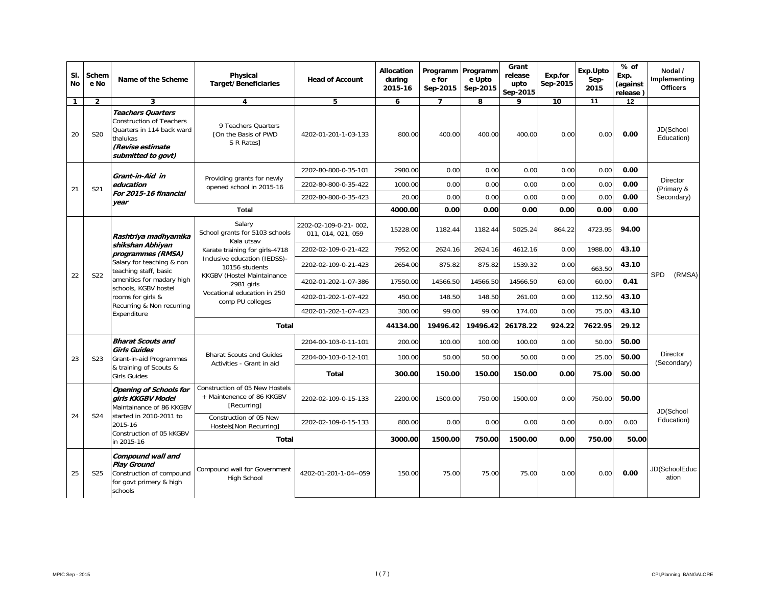| SI.<br>No    | Schem<br>e No                                                                                | Name of the Scheme                                                                                                                             | Physical<br><b>Target/Beneficiaries</b>                                                                                                                                                                                                               | <b>Head of Account</b>                      | Allocation<br>during<br>2015-16 | Programm Programm<br>e for<br>Sep-2015 | e Upto<br>Sep-2015 | Grant<br>release<br>upto<br>Sep-2015 | Exp.for<br>Sep-2015 | Exp.Upto<br>Sep-<br>2015 | % of<br>Exp.<br>(against<br>release) | Nodal /<br>Implementing<br><b>Officers</b> |
|--------------|----------------------------------------------------------------------------------------------|------------------------------------------------------------------------------------------------------------------------------------------------|-------------------------------------------------------------------------------------------------------------------------------------------------------------------------------------------------------------------------------------------------------|---------------------------------------------|---------------------------------|----------------------------------------|--------------------|--------------------------------------|---------------------|--------------------------|--------------------------------------|--------------------------------------------|
| $\mathbf{1}$ | $\overline{2}$                                                                               | 3                                                                                                                                              | 4                                                                                                                                                                                                                                                     | 5                                           | 6                               | 7                                      | 8                  | 9                                    | 10                  | 11                       | 12                                   |                                            |
| 20           | S20                                                                                          | <b>Teachers Quarters</b><br><b>Construction of Teachers</b><br>Quarters in 114 back ward<br>thalukas<br>(Revise estimate<br>submitted to govt) | 9 Teachers Quarters<br>TOn the Basis of PWD<br>S R Rates                                                                                                                                                                                              | 4202-01-201-1-03-133                        | 800.00                          | 400.00                                 | 400.00             | 400.00                               | 0.00                | 0.00                     | 0.00                                 | JD(School<br>Education)                    |
|              |                                                                                              | Grant-in-Aid in                                                                                                                                |                                                                                                                                                                                                                                                       | 2202-80-800-0-35-101                        | 2980.00                         | 0.00                                   | 0.00               | 0.00                                 | 0.00                | 0.00                     | 0.00                                 |                                            |
| 21           | S21                                                                                          | education                                                                                                                                      | Providing grants for newly<br>opened school in 2015-16                                                                                                                                                                                                | 2202-80-800-0-35-422                        | 1000.00                         | 0.00                                   | 0.00               | 0.00                                 | 0.00                | 0.00                     | 0.00                                 | Director<br>(Primary &                     |
|              |                                                                                              | For 2015-16 financial<br>year                                                                                                                  |                                                                                                                                                                                                                                                       | 2202-80-800-0-35-423                        | 20.00                           | 0.00                                   | 0.00               | 0.00                                 | 0.00                | 0.00                     | 0.00                                 | Secondary)                                 |
|              |                                                                                              |                                                                                                                                                | Total                                                                                                                                                                                                                                                 |                                             | 4000.00                         | 0.00                                   | 0.00               | 0.00                                 | 0.00                | 0.00                     | 0.00                                 |                                            |
|              |                                                                                              | Rashtriya madhyamika                                                                                                                           | Salary<br>School grants for 5103 schools<br>Kala utsav                                                                                                                                                                                                | 2202-02-109-0-21-002,<br>011, 014, 021, 059 | 15228.00                        | 1182.44                                | 1182.44            | 5025.24                              | 864.22              | 4723.95                  | 94.00                                |                                            |
|              |                                                                                              | shikshan Abhiyan<br>programmes (RMSA)                                                                                                          | Karate training for girls-4718                                                                                                                                                                                                                        | 2202-02-109-0-21-422                        | 7952.00                         | 2624.16                                | 2624.16            | 4612.16                              | 0.00                | 1988.00                  | 43.10                                |                                            |
|              |                                                                                              | Salary for teaching & non<br>teaching staff, basic                                                                                             | Inclusive education (IEDSS)-<br>875.82<br>875.82<br>1539.32<br>0.00<br>2202-02-109-0-21-423<br>2654.00<br>10156 students<br>KKGBV (Hostel Maintainance<br>4202-01-202-1-07-386<br>14566.50<br>14566.50<br>14566.50<br>60.00<br>17550.00<br>2981 girls | 663.50                                      | 43.10                           |                                        |                    |                                      |                     |                          |                                      |                                            |
| 22           | <b>S22</b>                                                                                   | amenities for madary high<br>schools, KGBV hostel                                                                                              |                                                                                                                                                                                                                                                       |                                             |                                 |                                        |                    |                                      |                     | 60.00                    | 0.41                                 | <b>SPD</b><br>(RMSA)                       |
|              | Vocational education in 250<br>rooms for girls &<br>4202-01-202-1-07-422<br>comp PU colleges | 450.00                                                                                                                                         | 148.50                                                                                                                                                                                                                                                | 148.50                                      | 261.00                          | 0.00                                   | 112.50             | 43.10                                |                     |                          |                                      |                                            |
|              |                                                                                              | Recurring & Non recurring<br>Expenditure                                                                                                       |                                                                                                                                                                                                                                                       | 4202-01-202-1-07-423                        | 300.00                          | 99.00                                  | 99.00              | 174.00                               | 0.00                | 75.00                    | 43.10                                |                                            |
|              |                                                                                              |                                                                                                                                                | <b>Total</b>                                                                                                                                                                                                                                          | 44134.00                                    | 19496.42                        | 19496.42                               | 26178.22           | 924.22                               | 7622.95             | 29.12                    |                                      |                                            |
|              |                                                                                              | <b>Bharat Scouts and</b>                                                                                                                       |                                                                                                                                                                                                                                                       | 2204-00-103-0-11-101                        | 200.00                          | 100.00                                 | 100.00             | 100.00                               | 0.00                | 50.00                    | 50.00                                |                                            |
| 23           | S <sub>2</sub> 3                                                                             | Girls Guides<br>Grant-in-aid Programmes                                                                                                        | <b>Bharat Scouts and Guides</b><br>Activities - Grant in aid                                                                                                                                                                                          | 2204-00-103-0-12-101                        | 100.00                          | 50.00                                  | 50.00              | 50.00                                | 0.00                | 25.00                    | 50.00                                | <b>Director</b><br>(Secondary)             |
|              |                                                                                              | & training of Scouts &<br><b>Girls Guides</b>                                                                                                  |                                                                                                                                                                                                                                                       | <b>Total</b>                                | 300.00                          | 150.00                                 | 150.00             | 150.00                               | 0.00                | 75.00                    | 50.00                                |                                            |
|              |                                                                                              | Opening of Schools for<br>girls KKGBV Model<br>Maintainance of 86 KKGBV                                                                        | Construction of 05 New Hostels<br>+ Maintenence of 86 KKGBV<br>[Recurring]                                                                                                                                                                            | 2202-02-109-0-15-133                        | 2200.00                         | 1500.00                                | 750.00             | 1500.00                              | 0.00                | 750.00                   | 50.00                                | JD(School                                  |
| 24           | <b>S24</b>                                                                                   | started in 2010-2011 to<br>2015-16                                                                                                             | Construction of 05 New<br>Hostels[Non Recurring]                                                                                                                                                                                                      | 2202-02-109-0-15-133                        | 800.00                          | 0.00                                   | 0.00               | 0.00                                 | 0.00                | 0.00                     | 0.00                                 | Education)                                 |
|              |                                                                                              | Construction of 05 kKGBV<br>in 2015-16                                                                                                         | Total                                                                                                                                                                                                                                                 |                                             | 3000.00                         | 1500.00                                | 750.00             | 1500.00                              | 0.00                | 750.00                   | 50.00                                |                                            |
| 25           | S <sub>25</sub>                                                                              | Compound wall and<br>Play Ground<br>Construction of compound<br>for govt primery & high<br>schools                                             | Compound wall for Government<br>High School                                                                                                                                                                                                           | 4202-01-201-1-04--059                       | 150.00                          | 75.00                                  | 75.00              | 75.00                                | 0.00                | 0.00                     | 0.00                                 | JD(SchoolEduc<br>ation                     |